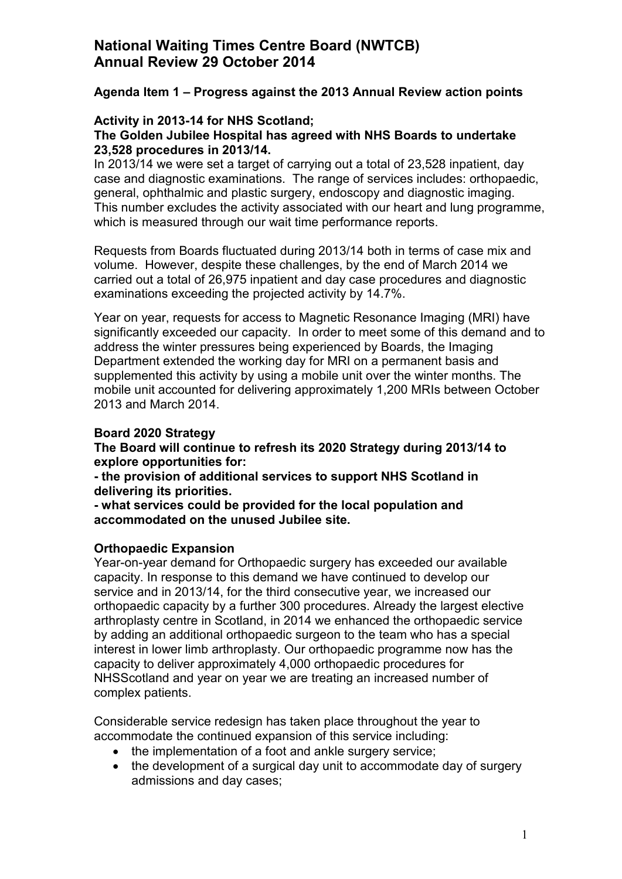### **Agenda Item 1 – Progress against the 2013 Annual Review action points**

### **Activity in 2013-14 for NHS Scotland;**

### **The Golden Jubilee Hospital has agreed with NHS Boards to undertake 23,528 procedures in 2013/14.**

In 2013/14 we were set a target of carrying out a total of 23,528 inpatient, day case and diagnostic examinations. The range of services includes: orthopaedic, general, ophthalmic and plastic surgery, endoscopy and diagnostic imaging. This number excludes the activity associated with our heart and lung programme, which is measured through our wait time performance reports.

Requests from Boards fluctuated during 2013/14 both in terms of case mix and volume. However, despite these challenges, by the end of March 2014 we carried out a total of 26,975 inpatient and day case procedures and diagnostic examinations exceeding the projected activity by 14.7%.

Year on year, requests for access to Magnetic Resonance Imaging (MRI) have significantly exceeded our capacity. In order to meet some of this demand and to address the winter pressures being experienced by Boards, the Imaging Department extended the working day for MRI on a permanent basis and supplemented this activity by using a mobile unit over the winter months. The mobile unit accounted for delivering approximately 1,200 MRIs between October 2013 and March 2014.

### **Board 2020 Strategy**

**The Board will continue to refresh its 2020 Strategy during 2013/14 to explore opportunities for:** 

**- the provision of additional services to support NHS Scotland in delivering its priorities.** 

**- what services could be provided for the local population and accommodated on the unused Jubilee site.** 

#### **Orthopaedic Expansion**

Year-on-year demand for Orthopaedic surgery has exceeded our available capacity. In response to this demand we have continued to develop our service and in 2013/14, for the third consecutive year, we increased our orthopaedic capacity by a further 300 procedures. Already the largest elective arthroplasty centre in Scotland, in 2014 we enhanced the orthopaedic service by adding an additional orthopaedic surgeon to the team who has a special interest in lower limb arthroplasty. Our orthopaedic programme now has the capacity to deliver approximately 4,000 orthopaedic procedures for NHSScotland and year on year we are treating an increased number of complex patients.

Considerable service redesign has taken place throughout the year to accommodate the continued expansion of this service including:

- the implementation of a foot and ankle surgery service;
- the development of a surgical day unit to accommodate day of surgery admissions and day cases;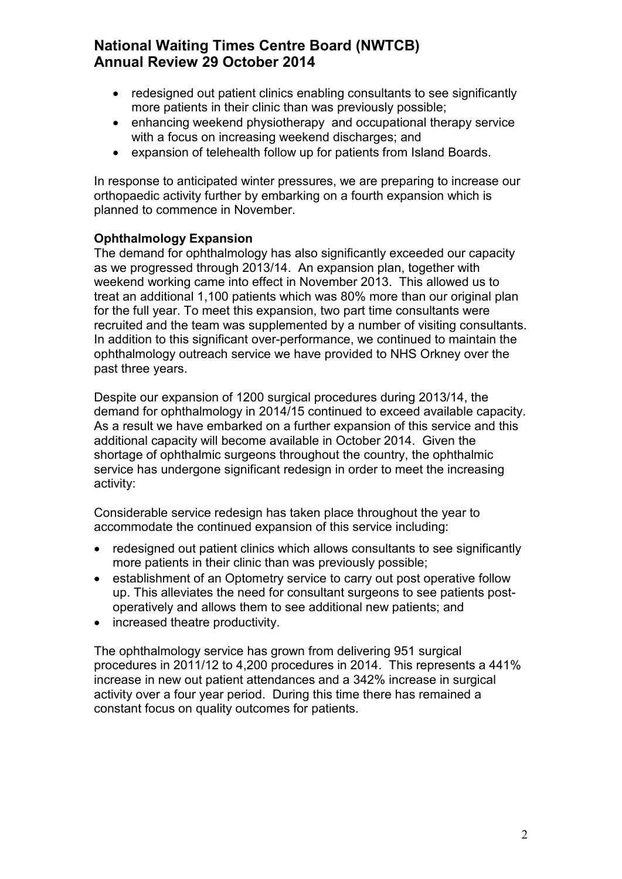- redesigned out patient clinics enabling consultants to see significantly more patients in their clinic than was previously possible;
- enhancing weekend physiotherapy and occupational therapy service with a focus on increasing weekend discharges; and
- expansion of telehealth follow up for patients from Island Boards.

In response to anticipated winter pressures, we are preparing to increase our orthopaedic activity further by embarking on a fourth expansion which is planned to commence in November.

## **Ophthalmology Expansion**

The demand for ophthalmology has also significantly exceeded our capacity as we progressed through 2013/14. An expansion plan, together with weekend working came into effect in November 2013. This allowed us to treat an additional 1,100 patients which was 80% more than our original plan for the full year. To meet this expansion, two part time consultants were recruited and the team was supplemented by a number of visiting consultants. In addition to this significant over-performance, we continued to maintain the ophthalmology outreach service we have provided to NHS Orkney over the past three years.

Despite our expansion of 1200 surgical procedures during 2013/14, the demand for ophthalmology in 2014/15 continued to exceed available capacity. As a result we have embarked on a further expansion of this service and this additional capacity will become available in October 2014. Given the shortage of ophthalmic surgeons throughout the country, the ophthalmic service has undergone significant redesign in order to meet the increasing activity:

Considerable service redesign has taken place throughout the year to accommodate the continued expansion of this service including:

- redesigned out patient clinics which allows consultants to see significantly more patients in their clinic than was previously possible;
- establishment of an Optometry service to carry out post operative follow up. This alleviates the need for consultant surgeons to see patients postoperatively and allows them to see additional new patients; and
- increased theatre productivity.

The ophthalmology service has grown from delivering 951 surgical procedures in 2011/12 to 4,200 procedures in 2014. This represents a 441% increase in new out patient attendances and a 342% increase in surgical activity over a four year period. During this time there has remained a constant focus on quality outcomes for patients.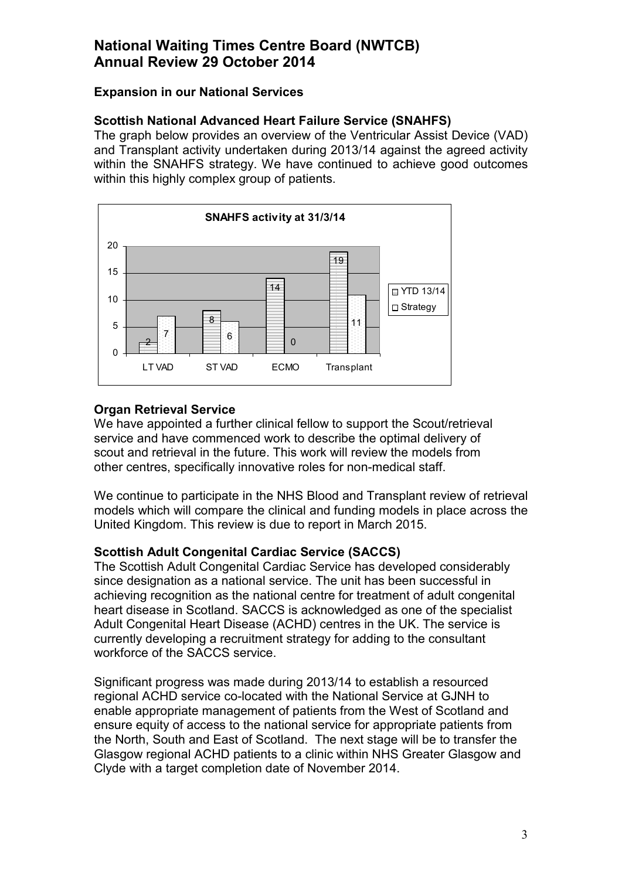## **Expansion in our National Services**

## **Scottish National Advanced Heart Failure Service (SNAHFS)**

The graph below provides an overview of the Ventricular Assist Device (VAD) and Transplant activity undertaken during 2013/14 against the agreed activity within the SNAHFS strategy. We have continued to achieve good outcomes within this highly complex group of patients.



## **Organ Retrieval Service**

We have appointed a further clinical fellow to support the Scout/retrieval service and have commenced work to describe the optimal delivery of scout and retrieval in the future. This work will review the models from other centres, specifically innovative roles for non-medical staff.

We continue to participate in the NHS Blood and Transplant review of retrieval models which will compare the clinical and funding models in place across the United Kingdom. This review is due to report in March 2015.

## **Scottish Adult Congenital Cardiac Service (SACCS)**

The Scottish Adult Congenital Cardiac Service has developed considerably since designation as a national service. The unit has been successful in achieving recognition as the national centre for treatment of adult congenital heart disease in Scotland. SACCS is acknowledged as one of the specialist Adult Congenital Heart Disease (ACHD) centres in the UK. The service is currently developing a recruitment strategy for adding to the consultant workforce of the SACCS service.

Significant progress was made during 2013/14 to establish a resourced regional ACHD service co-located with the National Service at GJNH to enable appropriate management of patients from the West of Scotland and ensure equity of access to the national service for appropriate patients from the North, South and East of Scotland. The next stage will be to transfer the Glasgow regional ACHD patients to a clinic within NHS Greater Glasgow and Clyde with a target completion date of November 2014.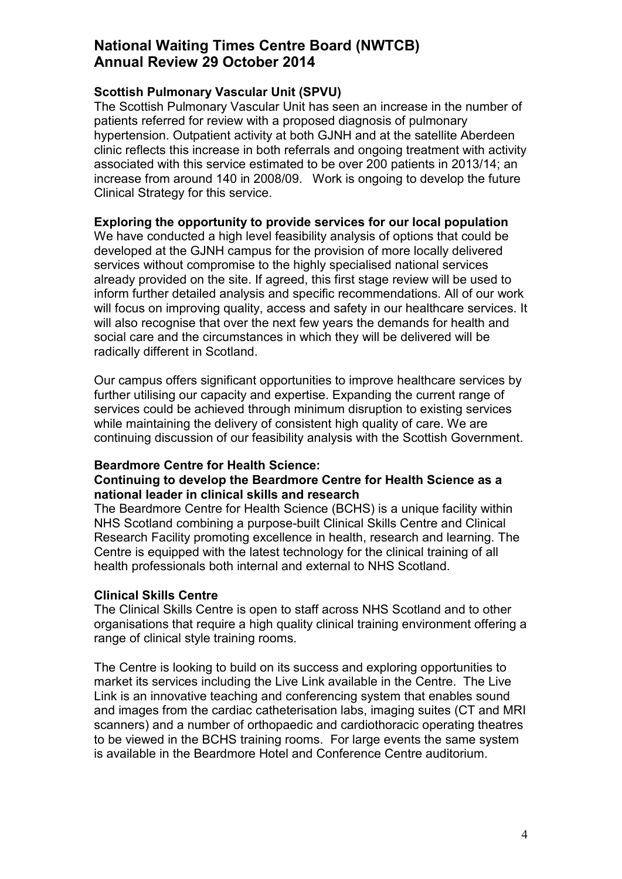### **Scottish Pulmonary Vascular Unit (SPVU)**

The Scottish Pulmonary Vascular Unit has seen an increase in the number of patients referred for review with a proposed diagnosis of pulmonary hypertension. Outpatient activity at both GJNH and at the satellite Aberdeen clinic reflects this increase in both referrals and ongoing treatment with activity associated with this service estimated to be over 200 patients in 2013/14; an increase from around 140 in 2008/09. Work is ongoing to develop the future Clinical Strategy for this service.

### **Exploring the opportunity to provide services for our local population**

We have conducted a high level feasibility analysis of options that could be developed at the GJNH campus for the provision of more locally delivered services without compromise to the highly specialised national services already provided on the site. If agreed, this first stage review will be used to inform further detailed analysis and specific recommendations. All of our work will focus on improving quality, access and safety in our healthcare services. It will also recognise that over the next few years the demands for health and social care and the circumstances in which they will be delivered will be radically different in Scotland.

Our campus offers significant opportunities to improve healthcare services by further utilising our capacity and expertise. Expanding the current range of services could be achieved through minimum disruption to existing services while maintaining the delivery of consistent high quality of care. We are continuing discussion of our feasibility analysis with the Scottish Government.

#### **Beardmore Centre for Health Science:**

#### **Continuing to develop the Beardmore Centre for Health Science as a national leader in clinical skills and research**

The Beardmore Centre for Health Science (BCHS) is a unique facility within NHS Scotland combining a purpose-built Clinical Skills Centre and Clinical Research Facility promoting excellence in health, research and learning. The Centre is equipped with the latest technology for the clinical training of all health professionals both internal and external to NHS Scotland.

#### **Clinical Skills Centre**

The Clinical Skills Centre is open to staff across NHS Scotland and to other organisations that require a high quality clinical training environment offering a range of clinical style training rooms.

The Centre is looking to build on its success and exploring opportunities to market its services including the Live Link available in the Centre. The Live Link is an innovative teaching and conferencing system that enables sound and images from the cardiac catheterisation labs, imaging suites (CT and MRI scanners) and a number of orthopaedic and cardiothoracic operating theatres to be viewed in the BCHS training rooms. For large events the same system is available in the Beardmore Hotel and Conference Centre auditorium.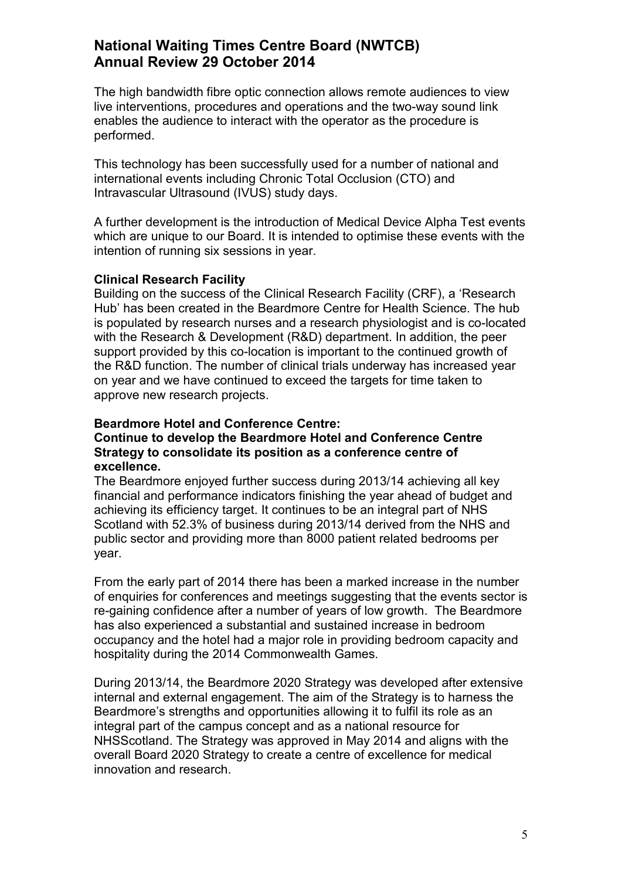The high bandwidth fibre optic connection allows remote audiences to view live interventions, procedures and operations and the two-way sound link enables the audience to interact with the operator as the procedure is performed.

This technology has been successfully used for a number of national and international events including Chronic Total Occlusion (CTO) and Intravascular Ultrasound (IVUS) study days.

A further development is the introduction of Medical Device Alpha Test events which are unique to our Board. It is intended to optimise these events with the intention of running six sessions in year.

#### **Clinical Research Facility**

Building on the success of the Clinical Research Facility (CRF), a 'Research Hub' has been created in the Beardmore Centre for Health Science. The hub is populated by research nurses and a research physiologist and is co-located with the Research & Development (R&D) department. In addition, the peer support provided by this co-location is important to the continued growth of the R&D function. The number of clinical trials underway has increased year on year and we have continued to exceed the targets for time taken to approve new research projects.

#### **Beardmore Hotel and Conference Centre:**

#### **Continue to develop the Beardmore Hotel and Conference Centre Strategy to consolidate its position as a conference centre of excellence.**

The Beardmore enjoyed further success during 2013/14 achieving all key financial and performance indicators finishing the year ahead of budget and achieving its efficiency target. It continues to be an integral part of NHS Scotland with 52.3% of business during 2013/14 derived from the NHS and public sector and providing more than 8000 patient related bedrooms per year.

From the early part of 2014 there has been a marked increase in the number of enquiries for conferences and meetings suggesting that the events sector is re-gaining confidence after a number of years of low growth. The Beardmore has also experienced a substantial and sustained increase in bedroom occupancy and the hotel had a major role in providing bedroom capacity and hospitality during the 2014 Commonwealth Games.

During 2013/14, the Beardmore 2020 Strategy was developed after extensive internal and external engagement. The aim of the Strategy is to harness the Beardmore's strengths and opportunities allowing it to fulfil its role as an integral part of the campus concept and as a national resource for NHSScotland. The Strategy was approved in May 2014 and aligns with the overall Board 2020 Strategy to create a centre of excellence for medical innovation and research.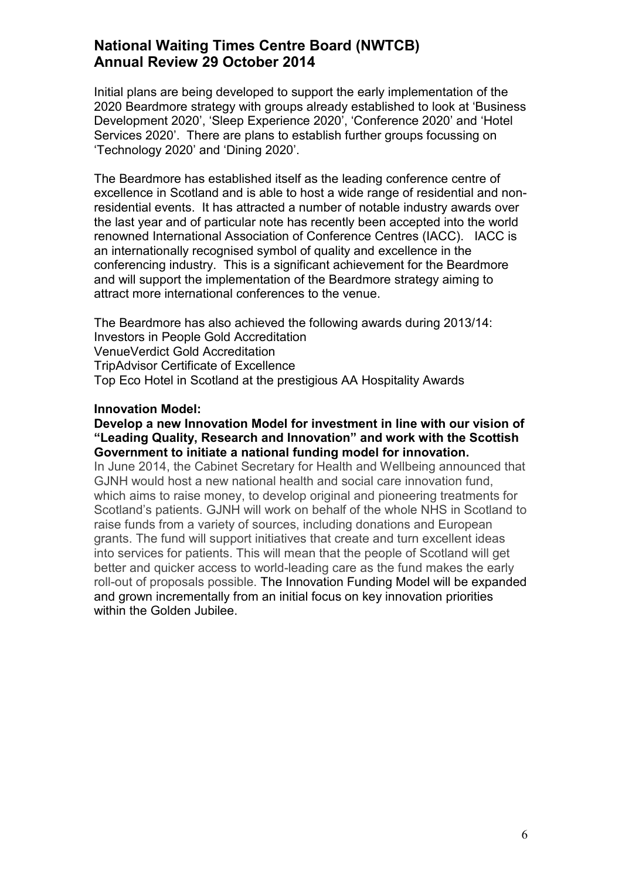Initial plans are being developed to support the early implementation of the 2020 Beardmore strategy with groups already established to look at 'Business Development 2020', 'Sleep Experience 2020', 'Conference 2020' and 'Hotel Services 2020'. There are plans to establish further groups focussing on 'Technology 2020' and 'Dining 2020'.

The Beardmore has established itself as the leading conference centre of excellence in Scotland and is able to host a wide range of residential and nonresidential events. It has attracted a number of notable industry awards over the last year and of particular note has recently been accepted into the world renowned International Association of Conference Centres (IACC). IACC is an internationally recognised symbol of quality and excellence in the conferencing industry. This is a significant achievement for the Beardmore and will support the implementation of the Beardmore strategy aiming to attract more international conferences to the venue.

The Beardmore has also achieved the following awards during 2013/14: Investors in People Gold Accreditation VenueVerdict Gold Accreditation TripAdvisor Certificate of Excellence Top Eco Hotel in Scotland at the prestigious AA Hospitality Awards

#### **Innovation Model:**

#### **Develop a new Innovation Model for investment in line with our vision of "Leading Quality, Research and Innovation" and work with the Scottish Government to initiate a national funding model for innovation.**

In June 2014, the Cabinet Secretary for Health and Wellbeing announced that GJNH would host a new national health and social care innovation fund, which aims to raise money, to develop original and pioneering treatments for Scotland's patients. GJNH will work on behalf of the whole NHS in Scotland to raise funds from a variety of sources, including donations and European grants. The fund will support initiatives that create and turn excellent ideas into services for patients. This will mean that the people of Scotland will get better and quicker access to world-leading care as the fund makes the early roll-out of proposals possible. The Innovation Funding Model will be expanded and grown incrementally from an initial focus on key innovation priorities within the Golden Jubilee.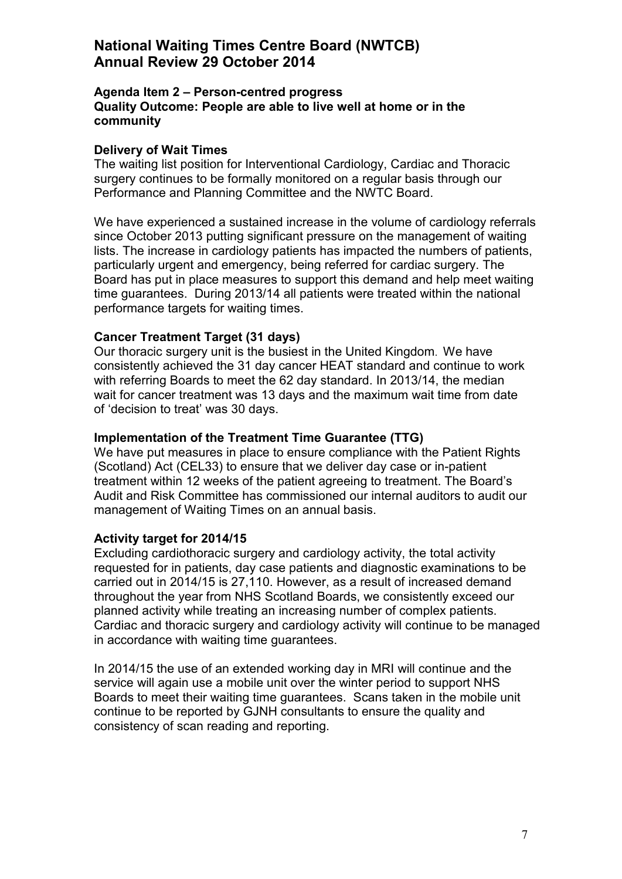#### **Agenda Item 2 – Person-centred progress Quality Outcome: People are able to live well at home or in the community**

#### **Delivery of Wait Times**

The waiting list position for Interventional Cardiology, Cardiac and Thoracic surgery continues to be formally monitored on a regular basis through our Performance and Planning Committee and the NWTC Board.

We have experienced a sustained increase in the volume of cardiology referrals since October 2013 putting significant pressure on the management of waiting lists. The increase in cardiology patients has impacted the numbers of patients, particularly urgent and emergency, being referred for cardiac surgery. The Board has put in place measures to support this demand and help meet waiting time guarantees. During 2013/14 all patients were treated within the national performance targets for waiting times.

#### **Cancer Treatment Target (31 days)**

Our thoracic surgery unit is the busiest in the United Kingdom. We have consistently achieved the 31 day cancer HEAT standard and continue to work with referring Boards to meet the 62 day standard. In 2013/14, the median wait for cancer treatment was 13 days and the maximum wait time from date of 'decision to treat' was 30 days.

#### **Implementation of the Treatment Time Guarantee (TTG)**

We have put measures in place to ensure compliance with the Patient Rights (Scotland) Act (CEL33) to ensure that we deliver day case or in-patient treatment within 12 weeks of the patient agreeing to treatment. The Board's Audit and Risk Committee has commissioned our internal auditors to audit our management of Waiting Times on an annual basis.

#### **Activity target for 2014/15**

Excluding cardiothoracic surgery and cardiology activity, the total activity requested for in patients, day case patients and diagnostic examinations to be carried out in 2014/15 is 27,110. However, as a result of increased demand throughout the year from NHS Scotland Boards, we consistently exceed our planned activity while treating an increasing number of complex patients. Cardiac and thoracic surgery and cardiology activity will continue to be managed in accordance with waiting time guarantees.

In 2014/15 the use of an extended working day in MRI will continue and the service will again use a mobile unit over the winter period to support NHS Boards to meet their waiting time guarantees. Scans taken in the mobile unit continue to be reported by GJNH consultants to ensure the quality and consistency of scan reading and reporting.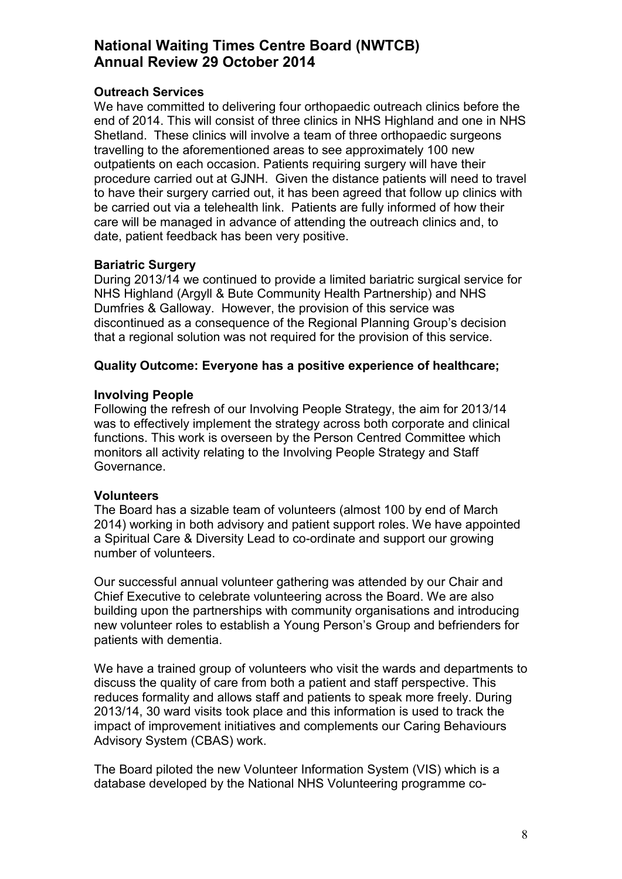### **Outreach Services**

We have committed to delivering four orthopaedic outreach clinics before the end of 2014. This will consist of three clinics in NHS Highland and one in NHS Shetland. These clinics will involve a team of three orthopaedic surgeons travelling to the aforementioned areas to see approximately 100 new outpatients on each occasion. Patients requiring surgery will have their procedure carried out at GJNH. Given the distance patients will need to travel to have their surgery carried out, it has been agreed that follow up clinics with be carried out via a telehealth link. Patients are fully informed of how their care will be managed in advance of attending the outreach clinics and, to date, patient feedback has been very positive.

### **Bariatric Surgery**

During 2013/14 we continued to provide a limited bariatric surgical service for NHS Highland (Argyll & Bute Community Health Partnership) and NHS Dumfries & Galloway. However, the provision of this service was discontinued as a consequence of the Regional Planning Group's decision that a regional solution was not required for the provision of this service.

### **Quality Outcome: Everyone has a positive experience of healthcare;**

### **Involving People**

Following the refresh of our Involving People Strategy, the aim for 2013/14 was to effectively implement the strategy across both corporate and clinical functions. This work is overseen by the Person Centred Committee which monitors all activity relating to the Involving People Strategy and Staff Governance.

#### **Volunteers**

The Board has a sizable team of volunteers (almost 100 by end of March 2014) working in both advisory and patient support roles. We have appointed a Spiritual Care & Diversity Lead to co-ordinate and support our growing number of volunteers.

Our successful annual volunteer gathering was attended by our Chair and Chief Executive to celebrate volunteering across the Board. We are also building upon the partnerships with community organisations and introducing new volunteer roles to establish a Young Person's Group and befrienders for patients with dementia.

We have a trained group of volunteers who visit the wards and departments to discuss the quality of care from both a patient and staff perspective. This reduces formality and allows staff and patients to speak more freely. During 2013/14, 30 ward visits took place and this information is used to track the impact of improvement initiatives and complements our Caring Behaviours Advisory System (CBAS) work.

The Board piloted the new Volunteer Information System (VIS) which is a database developed by the National NHS Volunteering programme co-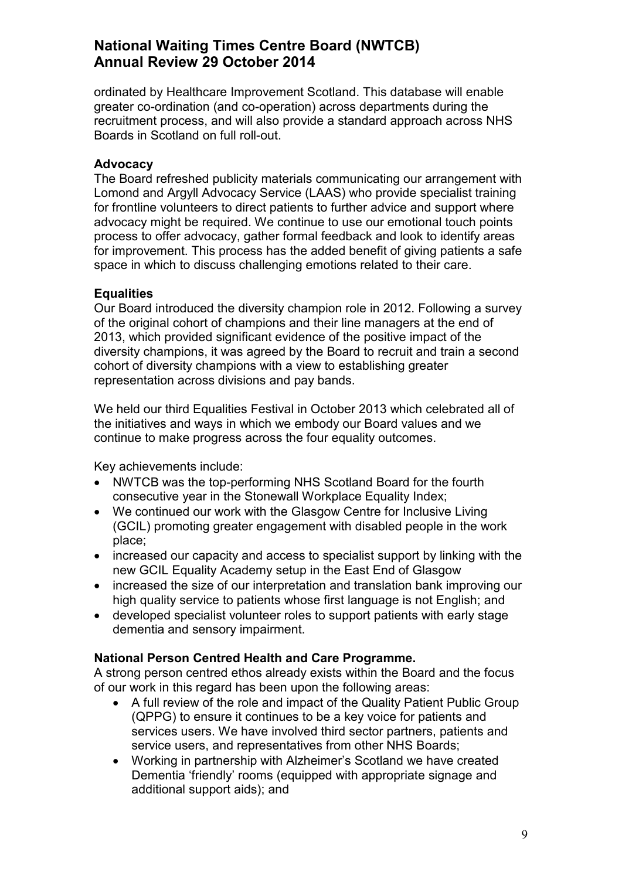ordinated by Healthcare Improvement Scotland. This database will enable greater co-ordination (and co-operation) across departments during the recruitment process, and will also provide a standard approach across NHS Boards in Scotland on full roll-out.

### **Advocacy**

The Board refreshed publicity materials communicating our arrangement with Lomond and Argyll Advocacy Service (LAAS) who provide specialist training for frontline volunteers to direct patients to further advice and support where advocacy might be required. We continue to use our emotional touch points process to offer advocacy, gather formal feedback and look to identify areas for improvement. This process has the added benefit of giving patients a safe space in which to discuss challenging emotions related to their care.

### **Equalities**

Our Board introduced the diversity champion role in 2012. Following a survey of the original cohort of champions and their line managers at the end of 2013, which provided significant evidence of the positive impact of the diversity champions, it was agreed by the Board to recruit and train a second cohort of diversity champions with a view to establishing greater representation across divisions and pay bands.

We held our third Equalities Festival in October 2013 which celebrated all of the initiatives and ways in which we embody our Board values and we continue to make progress across the four equality outcomes.

Key achievements include:

- NWTCB was the top-performing NHS Scotland Board for the fourth consecutive year in the Stonewall Workplace Equality Index;
- We continued our work with the Glasgow Centre for Inclusive Living (GCIL) promoting greater engagement with disabled people in the work place;
- increased our capacity and access to specialist support by linking with the new GCIL Equality Academy setup in the East End of Glasgow
- increased the size of our interpretation and translation bank improving our high quality service to patients whose first language is not English; and
- developed specialist volunteer roles to support patients with early stage dementia and sensory impairment.

#### **National Person Centred Health and Care Programme.**

A strong person centred ethos already exists within the Board and the focus of our work in this regard has been upon the following areas:

- A full review of the role and impact of the Quality Patient Public Group (QPPG) to ensure it continues to be a key voice for patients and services users. We have involved third sector partners, patients and service users, and representatives from other NHS Boards;
- Working in partnership with Alzheimer's Scotland we have created Dementia 'friendly' rooms (equipped with appropriate signage and additional support aids); and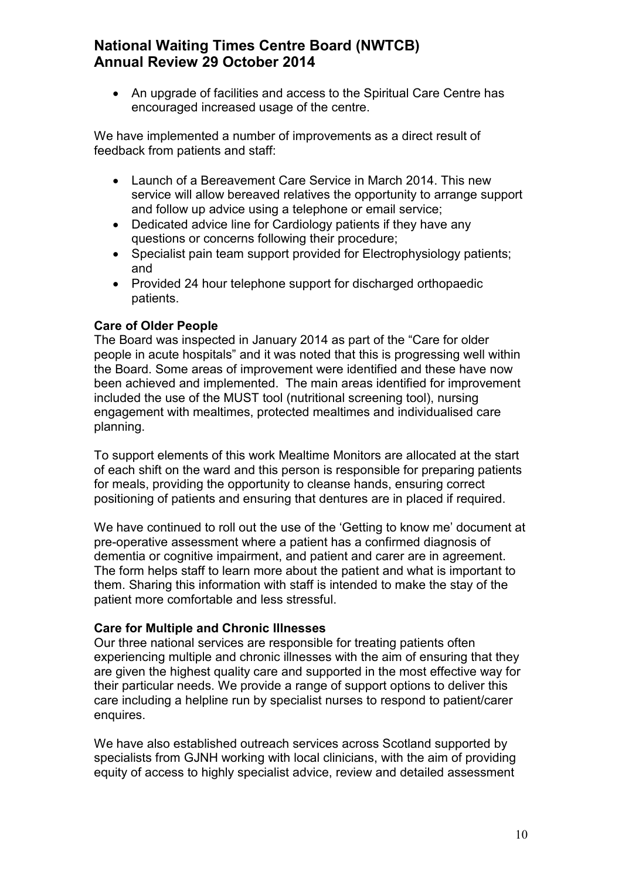• An upgrade of facilities and access to the Spiritual Care Centre has encouraged increased usage of the centre.

We have implemented a number of improvements as a direct result of feedback from patients and staff:

- Launch of a Bereavement Care Service in March 2014. This new service will allow bereaved relatives the opportunity to arrange support and follow up advice using a telephone or email service;
- Dedicated advice line for Cardiology patients if they have any questions or concerns following their procedure;
- Specialist pain team support provided for Electrophysiology patients; and
- Provided 24 hour telephone support for discharged orthopaedic patients.

## **Care of Older People**

The Board was inspected in January 2014 as part of the "Care for older people in acute hospitals" and it was noted that this is progressing well within the Board. Some areas of improvement were identified and these have now been achieved and implemented. The main areas identified for improvement included the use of the MUST tool (nutritional screening tool), nursing engagement with mealtimes, protected mealtimes and individualised care planning.

To support elements of this work Mealtime Monitors are allocated at the start of each shift on the ward and this person is responsible for preparing patients for meals, providing the opportunity to cleanse hands, ensuring correct positioning of patients and ensuring that dentures are in placed if required.

We have continued to roll out the use of the 'Getting to know me' document at pre-operative assessment where a patient has a confirmed diagnosis of dementia or cognitive impairment, and patient and carer are in agreement. The form helps staff to learn more about the patient and what is important to them. Sharing this information with staff is intended to make the stay of the patient more comfortable and less stressful.

## **Care for Multiple and Chronic Illnesses**

Our three national services are responsible for treating patients often experiencing multiple and chronic illnesses with the aim of ensuring that they are given the highest quality care and supported in the most effective way for their particular needs. We provide a range of support options to deliver this care including a helpline run by specialist nurses to respond to patient/carer enquires.

We have also established outreach services across Scotland supported by specialists from GJNH working with local clinicians, with the aim of providing equity of access to highly specialist advice, review and detailed assessment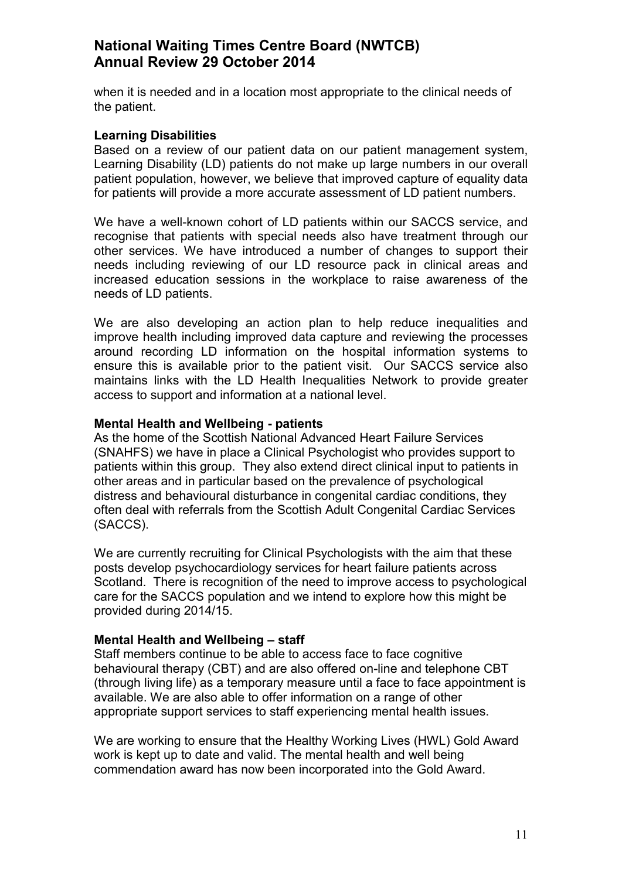when it is needed and in a location most appropriate to the clinical needs of the patient.

#### **Learning Disabilities**

Based on a review of our patient data on our patient management system, Learning Disability (LD) patients do not make up large numbers in our overall patient population, however, we believe that improved capture of equality data for patients will provide a more accurate assessment of LD patient numbers.

We have a well-known cohort of LD patients within our SACCS service, and recognise that patients with special needs also have treatment through our other services. We have introduced a number of changes to support their needs including reviewing of our LD resource pack in clinical areas and increased education sessions in the workplace to raise awareness of the needs of LD patients.

We are also developing an action plan to help reduce inequalities and improve health including improved data capture and reviewing the processes around recording LD information on the hospital information systems to ensure this is available prior to the patient visit. Our SACCS service also maintains links with the LD Health Inequalities Network to provide greater access to support and information at a national level.

#### **Mental Health and Wellbeing - patients**

As the home of the Scottish National Advanced Heart Failure Services (SNAHFS) we have in place a Clinical Psychologist who provides support to patients within this group. They also extend direct clinical input to patients in other areas and in particular based on the prevalence of psychological distress and behavioural disturbance in congenital cardiac conditions, they often deal with referrals from the Scottish Adult Congenital Cardiac Services (SACCS).

We are currently recruiting for Clinical Psychologists with the aim that these posts develop psychocardiology services for heart failure patients across Scotland. There is recognition of the need to improve access to psychological care for the SACCS population and we intend to explore how this might be provided during 2014/15.

#### **Mental Health and Wellbeing – staff**

Staff members continue to be able to access face to face cognitive behavioural therapy (CBT) and are also offered on-line and telephone CBT (through living life) as a temporary measure until a face to face appointment is available. We are also able to offer information on a range of other appropriate support services to staff experiencing mental health issues.

We are working to ensure that the Healthy Working Lives (HWL) Gold Award work is kept up to date and valid. The mental health and well being commendation award has now been incorporated into the Gold Award.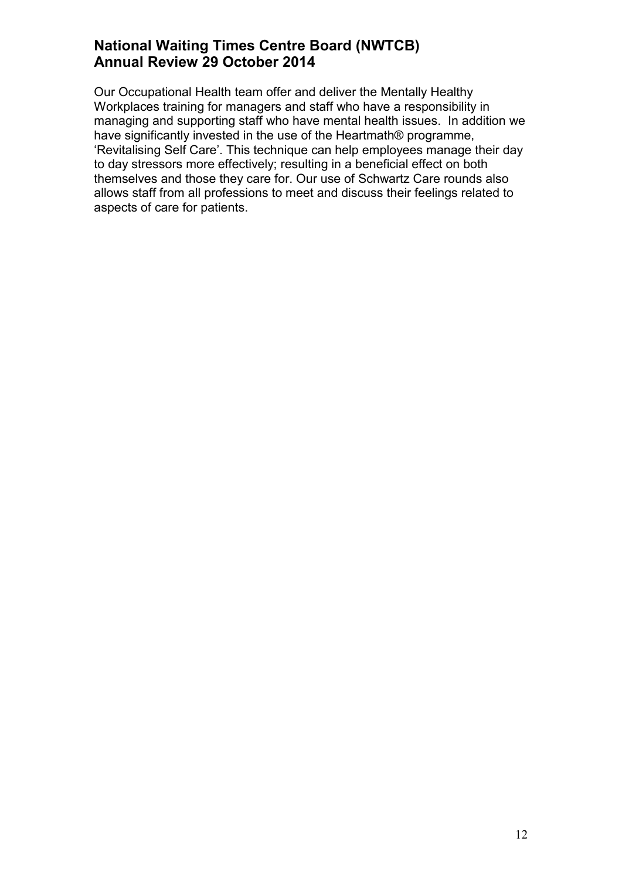Our Occupational Health team offer and deliver the Mentally Healthy Workplaces training for managers and staff who have a responsibility in managing and supporting staff who have mental health issues. In addition we have significantly invested in the use of the Heartmath® programme, 'Revitalising Self Care'. This technique can help employees manage their day to day stressors more effectively; resulting in a beneficial effect on both themselves and those they care for. Our use of Schwartz Care rounds also allows staff from all professions to meet and discuss their feelings related to aspects of care for patients.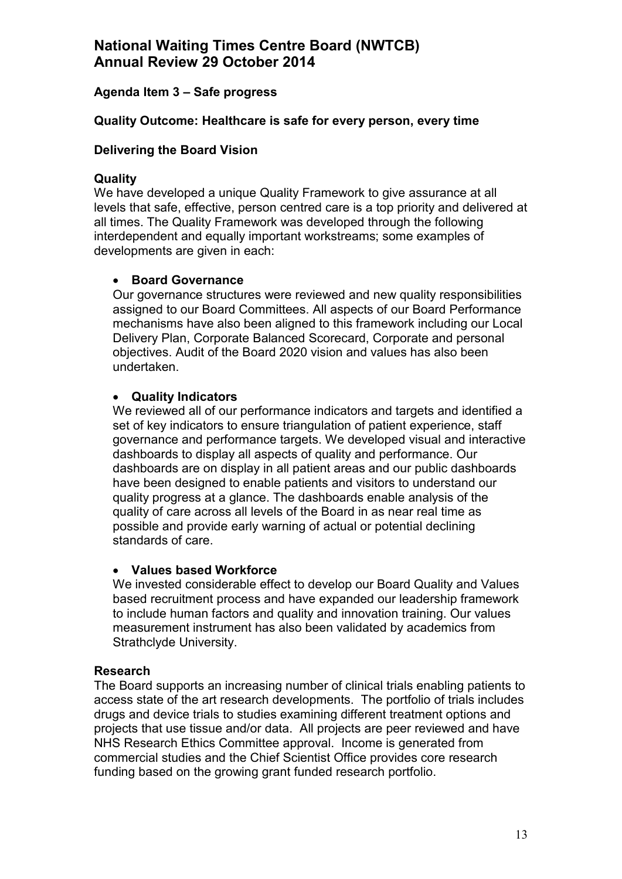## **Agenda Item 3 – Safe progress**

### **Quality Outcome: Healthcare is safe for every person, every time**

### **Delivering the Board Vision**

#### **Quality**

We have developed a unique Quality Framework to give assurance at all levels that safe, effective, person centred care is a top priority and delivered at all times. The Quality Framework was developed through the following interdependent and equally important workstreams; some examples of developments are given in each:

#### • **Board Governance**

Our governance structures were reviewed and new quality responsibilities assigned to our Board Committees. All aspects of our Board Performance mechanisms have also been aligned to this framework including our Local Delivery Plan, Corporate Balanced Scorecard, Corporate and personal objectives. Audit of the Board 2020 vision and values has also been undertaken.

### • **Quality Indicators**

We reviewed all of our performance indicators and targets and identified a set of key indicators to ensure triangulation of patient experience, staff governance and performance targets. We developed visual and interactive dashboards to display all aspects of quality and performance. Our dashboards are on display in all patient areas and our public dashboards have been designed to enable patients and visitors to understand our quality progress at a glance. The dashboards enable analysis of the quality of care across all levels of the Board in as near real time as possible and provide early warning of actual or potential declining standards of care.

#### • **Values based Workforce**

We invested considerable effect to develop our Board Quality and Values based recruitment process and have expanded our leadership framework to include human factors and quality and innovation training. Our values measurement instrument has also been validated by academics from Strathclyde University.

#### **Research**

The Board supports an increasing number of clinical trials enabling patients to access state of the art research developments. The portfolio of trials includes drugs and device trials to studies examining different treatment options and projects that use tissue and/or data. All projects are peer reviewed and have NHS Research Ethics Committee approval. Income is generated from commercial studies and the Chief Scientist Office provides core research funding based on the growing grant funded research portfolio.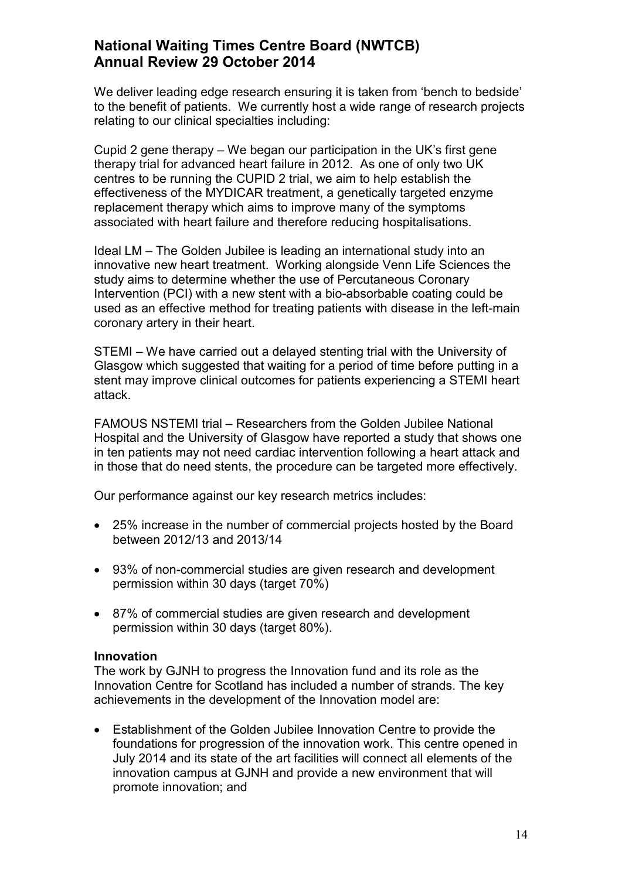We deliver leading edge research ensuring it is taken from 'bench to bedside' to the benefit of patients. We currently host a wide range of research projects relating to our clinical specialties including:

Cupid 2 gene therapy – We began our participation in the UK's first gene therapy trial for advanced heart failure in 2012. As one of only two UK centres to be running the CUPID 2 trial, we aim to help establish the effectiveness of the MYDICAR treatment, a genetically targeted enzyme replacement therapy which aims to improve many of the symptoms associated with heart failure and therefore reducing hospitalisations.

Ideal LM – The Golden Jubilee is leading an international study into an innovative new heart treatment. Working alongside Venn Life Sciences the study aims to determine whether the use of Percutaneous Coronary Intervention (PCI) with a new stent with a bio-absorbable coating could be used as an effective method for treating patients with disease in the left-main coronary artery in their heart.

STEMI – We have carried out a delayed stenting trial with the University of Glasgow which suggested that waiting for a period of time before putting in a stent may improve clinical outcomes for patients experiencing a STEMI heart attack.

FAMOUS NSTEMI trial – Researchers from the Golden Jubilee National Hospital and the University of Glasgow have reported a study that shows one in ten patients may not need cardiac intervention following a heart attack and in those that do need stents, the procedure can be targeted more effectively.

Our performance against our key research metrics includes:

- 25% increase in the number of commercial projects hosted by the Board between 2012/13 and 2013/14
- 93% of non-commercial studies are given research and development permission within 30 days (target 70%)
- 87% of commercial studies are given research and development permission within 30 days (target 80%).

#### **Innovation**

The work by GJNH to progress the Innovation fund and its role as the Innovation Centre for Scotland has included a number of strands. The key achievements in the development of the Innovation model are:

• Establishment of the Golden Jubilee Innovation Centre to provide the foundations for progression of the innovation work. This centre opened in July 2014 and its state of the art facilities will connect all elements of the innovation campus at GJNH and provide a new environment that will promote innovation; and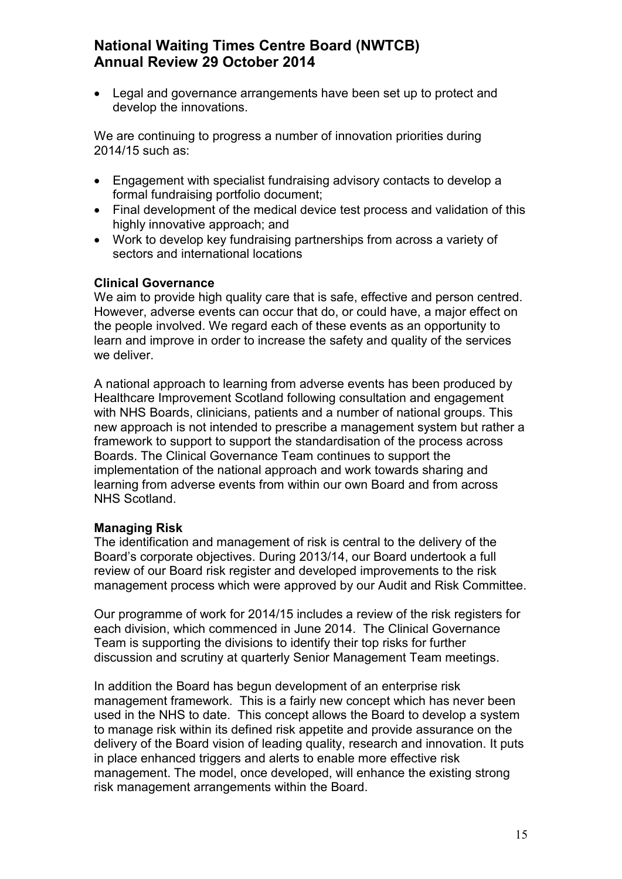• Legal and governance arrangements have been set up to protect and develop the innovations.

We are continuing to progress a number of innovation priorities during 2014/15 such as:

- Engagement with specialist fundraising advisory contacts to develop a formal fundraising portfolio document;
- Final development of the medical device test process and validation of this highly innovative approach; and
- Work to develop key fundraising partnerships from across a variety of sectors and international locations

### **Clinical Governance**

We aim to provide high quality care that is safe, effective and person centred. However, adverse events can occur that do, or could have, a major effect on the people involved. We regard each of these events as an opportunity to learn and improve in order to increase the safety and quality of the services we deliver.

A national approach to learning from adverse events has been produced by Healthcare Improvement Scotland following consultation and engagement with NHS Boards, clinicians, patients and a number of national groups. This new approach is not intended to prescribe a management system but rather a framework to support to support the standardisation of the process across Boards. The Clinical Governance Team continues to support the implementation of the national approach and work towards sharing and learning from adverse events from within our own Board and from across NHS Scotland.

#### **Managing Risk**

The identification and management of risk is central to the delivery of the Board's corporate objectives. During 2013/14, our Board undertook a full review of our Board risk register and developed improvements to the risk management process which were approved by our Audit and Risk Committee.

Our programme of work for 2014/15 includes a review of the risk registers for each division, which commenced in June 2014. The Clinical Governance Team is supporting the divisions to identify their top risks for further discussion and scrutiny at quarterly Senior Management Team meetings.

In addition the Board has begun development of an enterprise risk management framework. This is a fairly new concept which has never been used in the NHS to date. This concept allows the Board to develop a system to manage risk within its defined risk appetite and provide assurance on the delivery of the Board vision of leading quality, research and innovation. It puts in place enhanced triggers and alerts to enable more effective risk management. The model, once developed, will enhance the existing strong risk management arrangements within the Board.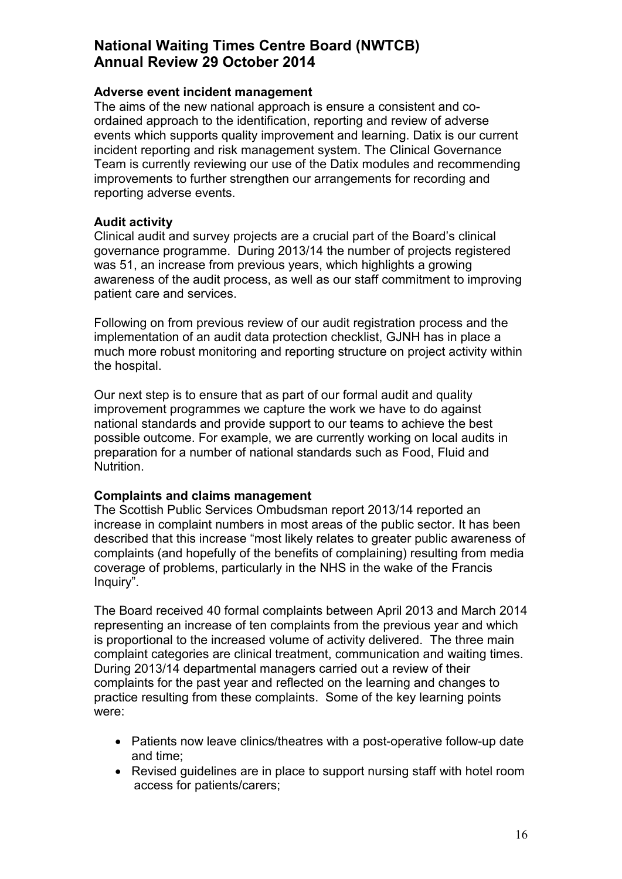### **Adverse event incident management**

The aims of the new national approach is ensure a consistent and coordained approach to the identification, reporting and review of adverse events which supports quality improvement and learning. Datix is our current incident reporting and risk management system. The Clinical Governance Team is currently reviewing our use of the Datix modules and recommending improvements to further strengthen our arrangements for recording and reporting adverse events.

### **Audit activity**

Clinical audit and survey projects are a crucial part of the Board's clinical governance programme. During 2013/14 the number of projects registered was 51, an increase from previous years, which highlights a growing awareness of the audit process, as well as our staff commitment to improving patient care and services.

Following on from previous review of our audit registration process and the implementation of an audit data protection checklist, GJNH has in place a much more robust monitoring and reporting structure on project activity within the hospital.

Our next step is to ensure that as part of our formal audit and quality improvement programmes we capture the work we have to do against national standards and provide support to our teams to achieve the best possible outcome. For example, we are currently working on local audits in preparation for a number of national standards such as Food, Fluid and Nutrition.

## **Complaints and claims management**

The Scottish Public Services Ombudsman report 2013/14 reported an increase in complaint numbers in most areas of the public sector. It has been described that this increase "most likely relates to greater public awareness of complaints (and hopefully of the benefits of complaining) resulting from media coverage of problems, particularly in the NHS in the wake of the Francis Inquiry".

The Board received 40 formal complaints between April 2013 and March 2014 representing an increase of ten complaints from the previous year and which is proportional to the increased volume of activity delivered. The three main complaint categories are clinical treatment, communication and waiting times. During 2013/14 departmental managers carried out a review of their complaints for the past year and reflected on the learning and changes to practice resulting from these complaints. Some of the key learning points were:

- Patients now leave clinics/theatres with a post-operative follow-up date and time;
- Revised guidelines are in place to support nursing staff with hotel room access for patients/carers;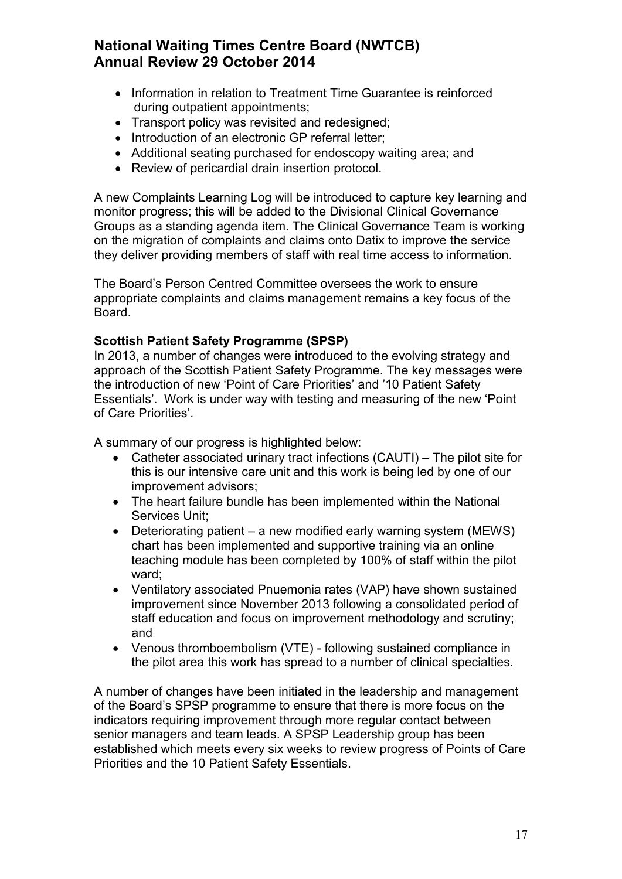- Information in relation to Treatment Time Guarantee is reinforced during outpatient appointments;
- Transport policy was revisited and redesigned:
- Introduction of an electronic GP referral letter;
- Additional seating purchased for endoscopy waiting area; and
- Review of pericardial drain insertion protocol.

A new Complaints Learning Log will be introduced to capture key learning and monitor progress; this will be added to the Divisional Clinical Governance Groups as a standing agenda item. The Clinical Governance Team is working on the migration of complaints and claims onto Datix to improve the service they deliver providing members of staff with real time access to information.

The Board's Person Centred Committee oversees the work to ensure appropriate complaints and claims management remains a key focus of the Board.

## **Scottish Patient Safety Programme (SPSP)**

In 2013, a number of changes were introduced to the evolving strategy and approach of the Scottish Patient Safety Programme. The key messages were the introduction of new 'Point of Care Priorities' and '10 Patient Safety Essentials'. Work is under way with testing and measuring of the new 'Point of Care Priorities'.

A summary of our progress is highlighted below:

- Catheter associated urinary tract infections (CAUTI) The pilot site for this is our intensive care unit and this work is being led by one of our improvement advisors;
- The heart failure bundle has been implemented within the National Services Unit;
- Deteriorating patient a new modified early warning system (MEWS) chart has been implemented and supportive training via an online teaching module has been completed by 100% of staff within the pilot ward;
- Ventilatory associated Pnuemonia rates (VAP) have shown sustained improvement since November 2013 following a consolidated period of staff education and focus on improvement methodology and scrutiny; and
- Venous thromboembolism (VTE) following sustained compliance in the pilot area this work has spread to a number of clinical specialties.

A number of changes have been initiated in the leadership and management of the Board's SPSP programme to ensure that there is more focus on the indicators requiring improvement through more regular contact between senior managers and team leads. A SPSP Leadership group has been established which meets every six weeks to review progress of Points of Care Priorities and the 10 Patient Safety Essentials.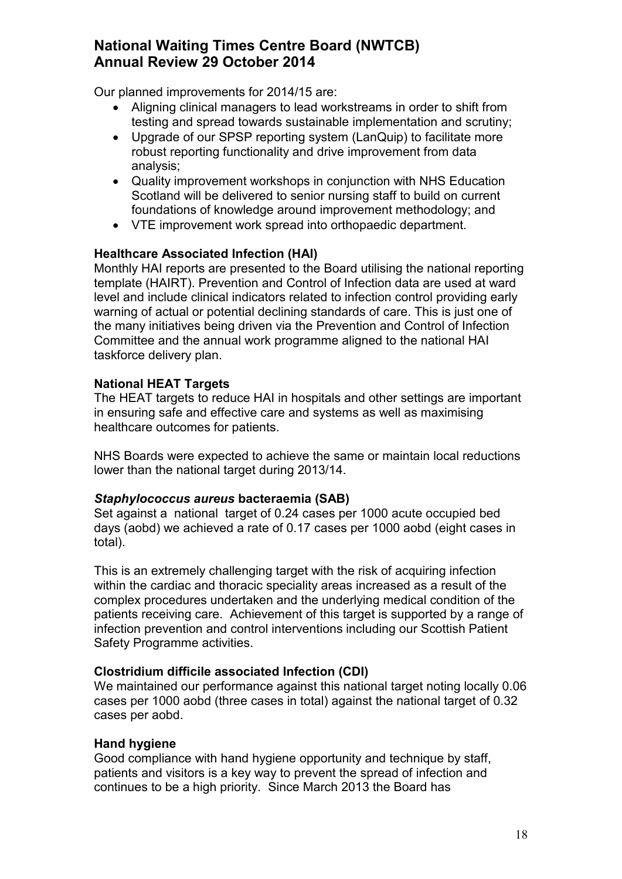Our planned improvements for 2014/15 are:

- Aligning clinical managers to lead workstreams in order to shift from testing and spread towards sustainable implementation and scrutiny;
- Upgrade of our SPSP reporting system (LanQuip) to facilitate more robust reporting functionality and drive improvement from data analysis;
- Quality improvement workshops in conjunction with NHS Education Scotland will be delivered to senior nursing staff to build on current foundations of knowledge around improvement methodology; and
- VTE improvement work spread into orthopaedic department.

## **Healthcare Associated Infection (HAI)**

Monthly HAI reports are presented to the Board utilising the national reporting template (HAIRT). Prevention and Control of Infection data are used at ward level and include clinical indicators related to infection control providing early warning of actual or potential declining standards of care. This is just one of the many initiatives being driven via the Prevention and Control of Infection Committee and the annual work programme aligned to the national HAI taskforce delivery plan.

### **National HEAT Targets**

The HEAT targets to reduce HAI in hospitals and other settings are important in ensuring safe and effective care and systems as well as maximising healthcare outcomes for patients.

NHS Boards were expected to achieve the same or maintain local reductions lower than the national target during 2013/14.

#### *Staphylococcus aureus* **bacteraemia (SAB)**

Set against a national target of 0.24 cases per 1000 acute occupied bed days (aobd) we achieved a rate of 0.17 cases per 1000 aobd (eight cases in total).

This is an extremely challenging target with the risk of acquiring infection within the cardiac and thoracic speciality areas increased as a result of the complex procedures undertaken and the underlying medical condition of the patients receiving care. Achievement of this target is supported by a range of infection prevention and control interventions including our Scottish Patient Safety Programme activities.

## **Clostridium difficile associated Infection (CDI)**

We maintained our performance against this national target noting locally 0.06 cases per 1000 aobd (three cases in total) against the national target of 0.32 cases per aobd.

#### **Hand hygiene**

Good compliance with hand hygiene opportunity and technique by staff, patients and visitors is a key way to prevent the spread of infection and continues to be a high priority. Since March 2013 the Board has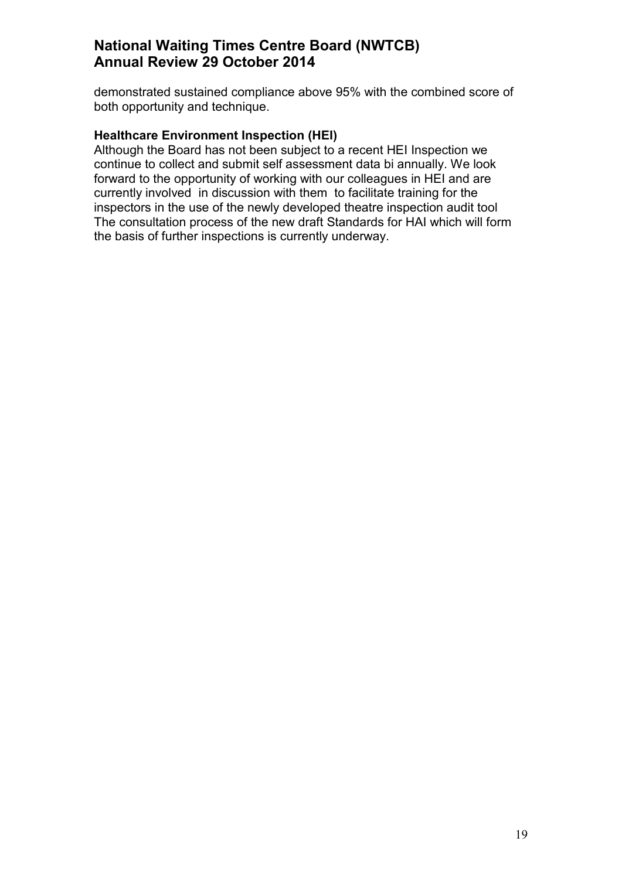demonstrated sustained compliance above 95% with the combined score of both opportunity and technique.

### **Healthcare Environment Inspection (HEI)**

Although the Board has not been subject to a recent HEI Inspection we continue to collect and submit self assessment data bi annually. We look forward to the opportunity of working with our colleagues in HEI and are currently involved in discussion with them to facilitate training for the inspectors in the use of the newly developed theatre inspection audit tool The consultation process of the new draft Standards for HAI which will form the basis of further inspections is currently underway.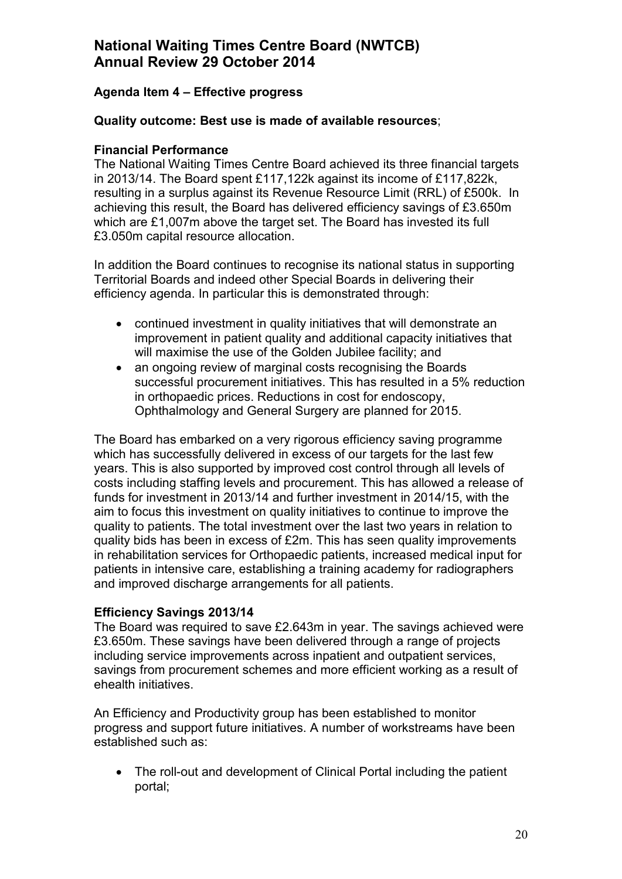## **Agenda Item 4 – Effective progress**

### **Quality outcome: Best use is made of available resources**;

### **Financial Performance**

The National Waiting Times Centre Board achieved its three financial targets in 2013/14. The Board spent £117,122k against its income of £117,822k, resulting in a surplus against its Revenue Resource Limit (RRL) of £500k. In achieving this result, the Board has delivered efficiency savings of £3.650m which are £1,007m above the target set. The Board has invested its full £3.050m capital resource allocation.

In addition the Board continues to recognise its national status in supporting Territorial Boards and indeed other Special Boards in delivering their efficiency agenda. In particular this is demonstrated through:

- continued investment in quality initiatives that will demonstrate an improvement in patient quality and additional capacity initiatives that will maximise the use of the Golden Jubilee facility; and
- an ongoing review of marginal costs recognising the Boards successful procurement initiatives. This has resulted in a 5% reduction in orthopaedic prices. Reductions in cost for endoscopy, Ophthalmology and General Surgery are planned for 2015.

The Board has embarked on a very rigorous efficiency saving programme which has successfully delivered in excess of our targets for the last few years. This is also supported by improved cost control through all levels of costs including staffing levels and procurement. This has allowed a release of funds for investment in 2013/14 and further investment in 2014/15, with the aim to focus this investment on quality initiatives to continue to improve the quality to patients. The total investment over the last two years in relation to quality bids has been in excess of £2m. This has seen quality improvements in rehabilitation services for Orthopaedic patients, increased medical input for patients in intensive care, establishing a training academy for radiographers and improved discharge arrangements for all patients.

#### **Efficiency Savings 2013/14**

The Board was required to save £2.643m in year. The savings achieved were £3.650m. These savings have been delivered through a range of projects including service improvements across inpatient and outpatient services, savings from procurement schemes and more efficient working as a result of ehealth initiatives.

An Efficiency and Productivity group has been established to monitor progress and support future initiatives. A number of workstreams have been established such as:

• The roll-out and development of Clinical Portal including the patient portal;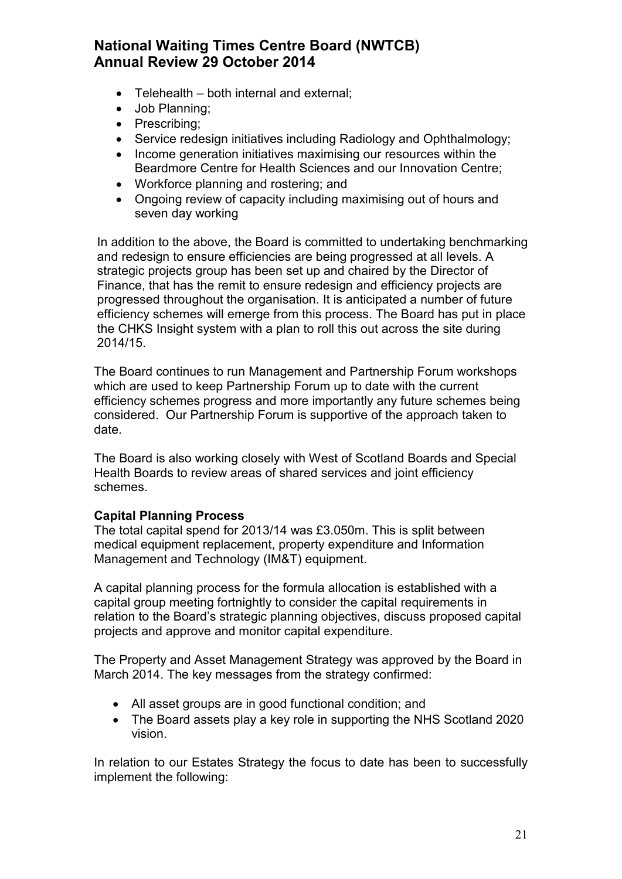- Telehealth both internal and external;
- Job Planning;
- Prescribing;
- Service redesign initiatives including Radiology and Ophthalmology;
- Income generation initiatives maximising our resources within the Beardmore Centre for Health Sciences and our Innovation Centre;
- Workforce planning and rostering; and
- Ongoing review of capacity including maximising out of hours and seven day working

In addition to the above, the Board is committed to undertaking benchmarking and redesign to ensure efficiencies are being progressed at all levels. A strategic projects group has been set up and chaired by the Director of Finance, that has the remit to ensure redesign and efficiency projects are progressed throughout the organisation. It is anticipated a number of future efficiency schemes will emerge from this process. The Board has put in place the CHKS Insight system with a plan to roll this out across the site during 2014/15.

The Board continues to run Management and Partnership Forum workshops which are used to keep Partnership Forum up to date with the current efficiency schemes progress and more importantly any future schemes being considered. Our Partnership Forum is supportive of the approach taken to date.

The Board is also working closely with West of Scotland Boards and Special Health Boards to review areas of shared services and joint efficiency schemes.

#### **Capital Planning Process**

The total capital spend for 2013/14 was £3.050m. This is split between medical equipment replacement, property expenditure and Information Management and Technology (IM&T) equipment.

A capital planning process for the formula allocation is established with a capital group meeting fortnightly to consider the capital requirements in relation to the Board's strategic planning objectives, discuss proposed capital projects and approve and monitor capital expenditure.

The Property and Asset Management Strategy was approved by the Board in March 2014. The key messages from the strategy confirmed:

- All asset groups are in good functional condition; and
- The Board assets play a key role in supporting the NHS Scotland 2020 vision.

In relation to our Estates Strategy the focus to date has been to successfully implement the following: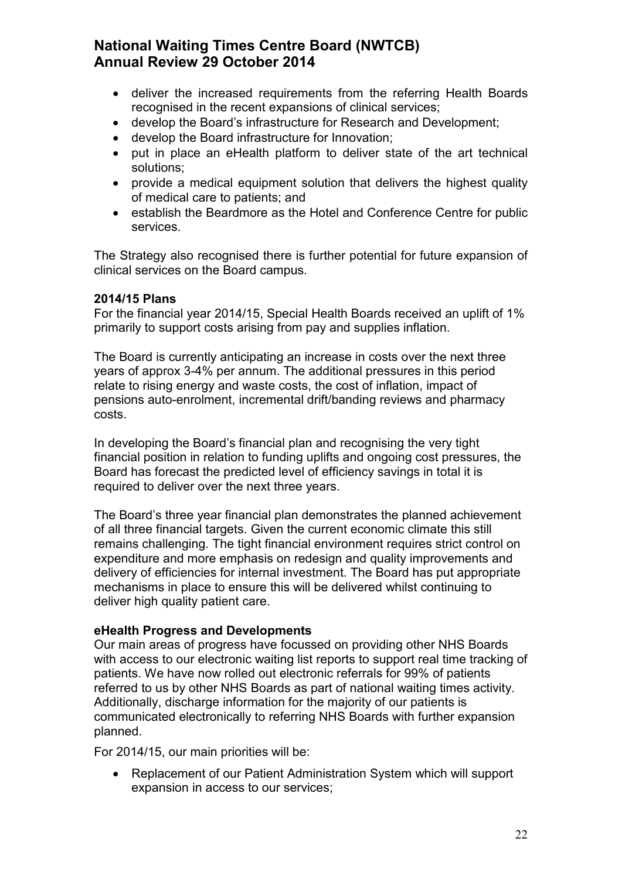- deliver the increased requirements from the referring Health Boards recognised in the recent expansions of clinical services;
- develop the Board's infrastructure for Research and Development;
- develop the Board infrastructure for Innovation;
- put in place an eHealth platform to deliver state of the art technical solutions;
- provide a medical equipment solution that delivers the highest quality of medical care to patients; and
- establish the Beardmore as the Hotel and Conference Centre for public services.

The Strategy also recognised there is further potential for future expansion of clinical services on the Board campus.

### **2014/15 Plans**

For the financial year 2014/15, Special Health Boards received an uplift of 1% primarily to support costs arising from pay and supplies inflation.

The Board is currently anticipating an increase in costs over the next three years of approx 3-4% per annum. The additional pressures in this period relate to rising energy and waste costs, the cost of inflation, impact of pensions auto-enrolment, incremental drift/banding reviews and pharmacy costs.

In developing the Board's financial plan and recognising the very tight financial position in relation to funding uplifts and ongoing cost pressures, the Board has forecast the predicted level of efficiency savings in total it is required to deliver over the next three years.

The Board's three year financial plan demonstrates the planned achievement of all three financial targets. Given the current economic climate this still remains challenging. The tight financial environment requires strict control on expenditure and more emphasis on redesign and quality improvements and delivery of efficiencies for internal investment. The Board has put appropriate mechanisms in place to ensure this will be delivered whilst continuing to deliver high quality patient care.

#### **eHealth Progress and Developments**

Our main areas of progress have focussed on providing other NHS Boards with access to our electronic waiting list reports to support real time tracking of patients. We have now rolled out electronic referrals for 99% of patients referred to us by other NHS Boards as part of national waiting times activity. Additionally, discharge information for the majority of our patients is communicated electronically to referring NHS Boards with further expansion planned.

For 2014/15, our main priorities will be:

• Replacement of our Patient Administration System which will support expansion in access to our services;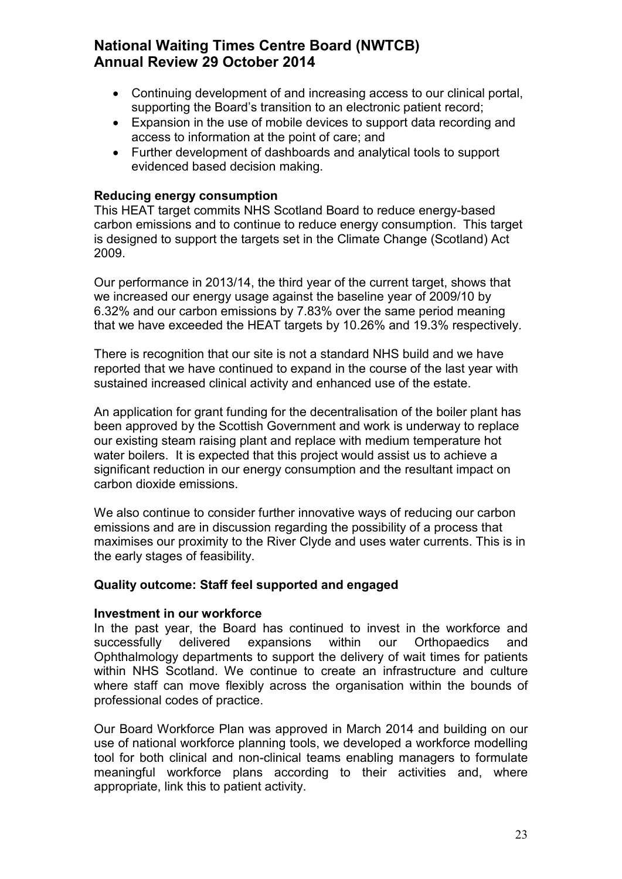- Continuing development of and increasing access to our clinical portal, supporting the Board's transition to an electronic patient record;
- Expansion in the use of mobile devices to support data recording and access to information at the point of care; and
- Further development of dashboards and analytical tools to support evidenced based decision making.

### **Reducing energy consumption**

This HEAT target commits NHS Scotland Board to reduce energy-based carbon emissions and to continue to reduce energy consumption. This target is designed to support the targets set in the Climate Change (Scotland) Act 2009.

Our performance in 2013/14, the third year of the current target, shows that we increased our energy usage against the baseline year of 2009/10 by 6.32% and our carbon emissions by 7.83% over the same period meaning that we have exceeded the HEAT targets by 10.26% and 19.3% respectively.

There is recognition that our site is not a standard NHS build and we have reported that we have continued to expand in the course of the last year with sustained increased clinical activity and enhanced use of the estate.

An application for grant funding for the decentralisation of the boiler plant has been approved by the Scottish Government and work is underway to replace our existing steam raising plant and replace with medium temperature hot water boilers. It is expected that this project would assist us to achieve a significant reduction in our energy consumption and the resultant impact on carbon dioxide emissions.

We also continue to consider further innovative ways of reducing our carbon emissions and are in discussion regarding the possibility of a process that maximises our proximity to the River Clyde and uses water currents. This is in the early stages of feasibility.

#### **Quality outcome: Staff feel supported and engaged**

#### **Investment in our workforce**

In the past year, the Board has continued to invest in the workforce and successfully delivered expansions within our Orthopaedics and Ophthalmology departments to support the delivery of wait times for patients within NHS Scotland. We continue to create an infrastructure and culture where staff can move flexibly across the organisation within the bounds of professional codes of practice.

Our Board Workforce Plan was approved in March 2014 and building on our use of national workforce planning tools, we developed a workforce modelling tool for both clinical and non-clinical teams enabling managers to formulate meaningful workforce plans according to their activities and, where appropriate, link this to patient activity.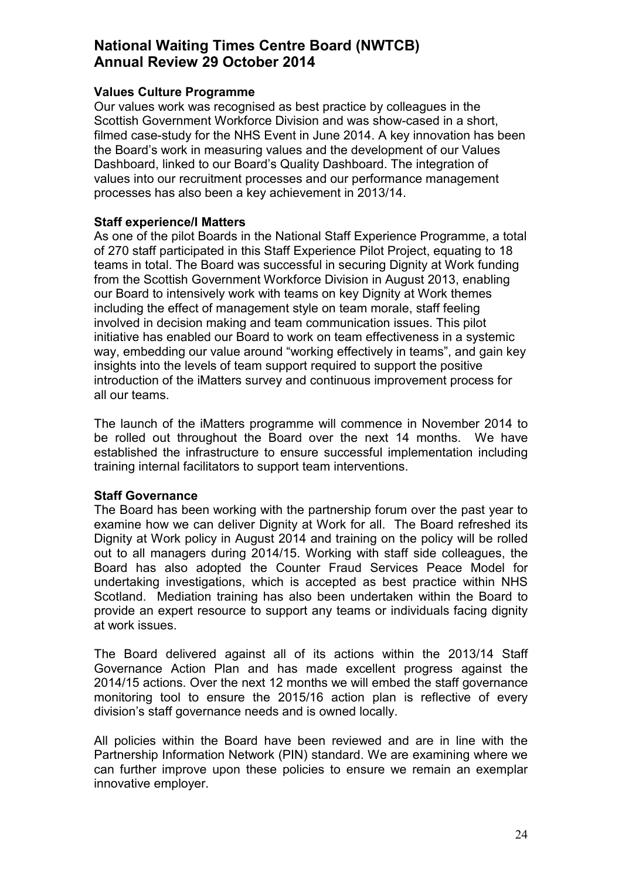#### **Values Culture Programme**

Our values work was recognised as best practice by colleagues in the Scottish Government Workforce Division and was show-cased in a short, filmed case-study for the NHS Event in June 2014. A key innovation has been the Board's work in measuring values and the development of our Values Dashboard, linked to our Board's Quality Dashboard. The integration of values into our recruitment processes and our performance management processes has also been a key achievement in 2013/14.

#### **Staff experience/I Matters**

As one of the pilot Boards in the National Staff Experience Programme, a total of 270 staff participated in this Staff Experience Pilot Project, equating to 18 teams in total. The Board was successful in securing Dignity at Work funding from the Scottish Government Workforce Division in August 2013, enabling our Board to intensively work with teams on key Dignity at Work themes including the effect of management style on team morale, staff feeling involved in decision making and team communication issues. This pilot initiative has enabled our Board to work on team effectiveness in a systemic way, embedding our value around "working effectively in teams", and gain key insights into the levels of team support required to support the positive introduction of the iMatters survey and continuous improvement process for all our teams.

The launch of the iMatters programme will commence in November 2014 to be rolled out throughout the Board over the next 14 months. We have established the infrastructure to ensure successful implementation including training internal facilitators to support team interventions.

#### **Staff Governance**

The Board has been working with the partnership forum over the past year to examine how we can deliver Dignity at Work for all. The Board refreshed its Dignity at Work policy in August 2014 and training on the policy will be rolled out to all managers during 2014/15. Working with staff side colleagues, the Board has also adopted the Counter Fraud Services Peace Model for undertaking investigations, which is accepted as best practice within NHS Scotland. Mediation training has also been undertaken within the Board to provide an expert resource to support any teams or individuals facing dignity at work issues.

The Board delivered against all of its actions within the 2013/14 Staff Governance Action Plan and has made excellent progress against the 2014/15 actions. Over the next 12 months we will embed the staff governance monitoring tool to ensure the 2015/16 action plan is reflective of every division's staff governance needs and is owned locally.

All policies within the Board have been reviewed and are in line with the Partnership Information Network (PIN) standard. We are examining where we can further improve upon these policies to ensure we remain an exemplar innovative employer.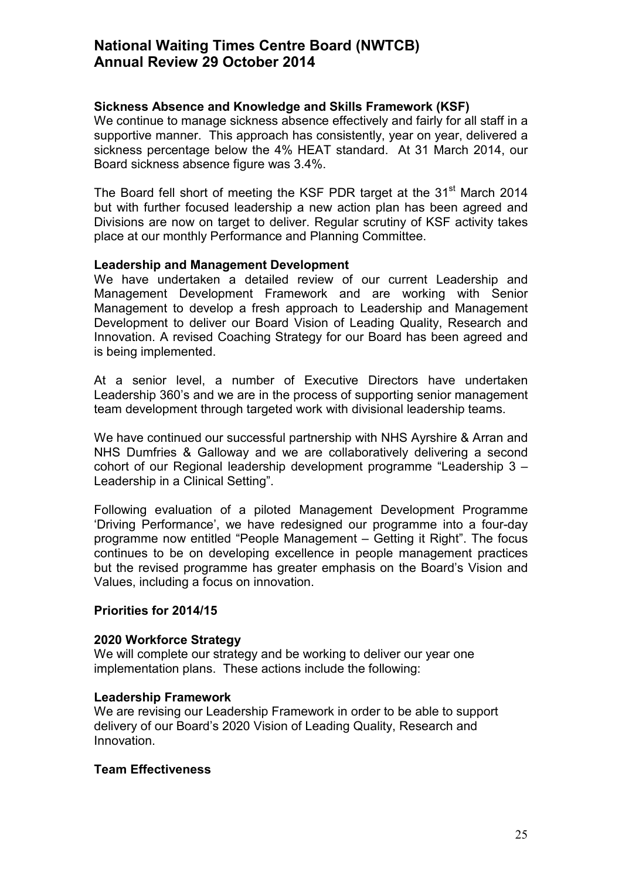#### **Sickness Absence and Knowledge and Skills Framework (KSF)**

We continue to manage sickness absence effectively and fairly for all staff in a supportive manner. This approach has consistently, year on year, delivered a sickness percentage below the 4% HEAT standard. At 31 March 2014, our Board sickness absence figure was 3.4%.

The Board fell short of meeting the KSF PDR target at the 31<sup>st</sup> March 2014 but with further focused leadership a new action plan has been agreed and Divisions are now on target to deliver. Regular scrutiny of KSF activity takes place at our monthly Performance and Planning Committee.

#### **Leadership and Management Development**

We have undertaken a detailed review of our current Leadership and Management Development Framework and are working with Senior Management to develop a fresh approach to Leadership and Management Development to deliver our Board Vision of Leading Quality, Research and Innovation. A revised Coaching Strategy for our Board has been agreed and is being implemented.

At a senior level, a number of Executive Directors have undertaken Leadership 360's and we are in the process of supporting senior management team development through targeted work with divisional leadership teams.

We have continued our successful partnership with NHS Ayrshire & Arran and NHS Dumfries & Galloway and we are collaboratively delivering a second cohort of our Regional leadership development programme "Leadership 3 – Leadership in a Clinical Setting".

Following evaluation of a piloted Management Development Programme 'Driving Performance', we have redesigned our programme into a four-day programme now entitled "People Management – Getting it Right". The focus continues to be on developing excellence in people management practices but the revised programme has greater emphasis on the Board's Vision and Values, including a focus on innovation.

#### **Priorities for 2014/15**

#### **2020 Workforce Strategy**

We will complete our strategy and be working to deliver our year one implementation plans. These actions include the following:

#### **Leadership Framework**

We are revising our Leadership Framework in order to be able to support delivery of our Board's 2020 Vision of Leading Quality, Research and Innovation.

#### **Team Effectiveness**